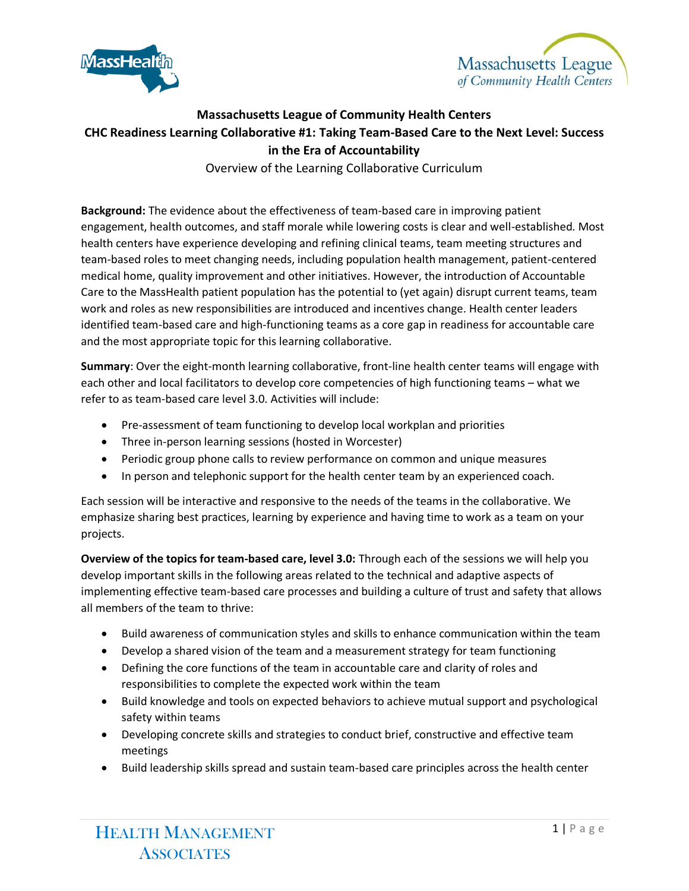



## **Massachusetts League of Community Health Centers CHC Readiness Learning Collaborative #1: Taking Team-Based Care to the Next Level: Success in the Era of Accountability**

Overview of the Learning Collaborative Curriculum

**Background:** The evidence about the effectiveness of team-based care in improving patient engagement, health outcomes, and staff morale while lowering costs is clear and well-established. Most health centers have experience developing and refining clinical teams, team meeting structures and team-based roles to meet changing needs, including population health management, patient-centered medical home, quality improvement and other initiatives. However, the introduction of Accountable Care to the MassHealth patient population has the potential to (yet again) disrupt current teams, team work and roles as new responsibilities are introduced and incentives change. Health center leaders identified team-based care and high-functioning teams as a core gap in readiness for accountable care and the most appropriate topic for this learning collaborative.

**Summary**: Over the eight-month learning collaborative, front-line health center teams will engage with each other and local facilitators to develop core competencies of high functioning teams – what we refer to as team-based care level 3.0. Activities will include:

- Pre-assessment of team functioning to develop local workplan and priorities
- Three in-person learning sessions (hosted in Worcester)
- Periodic group phone calls to review performance on common and unique measures
- In person and telephonic support for the health center team by an experienced coach.

Each session will be interactive and responsive to the needs of the teams in the collaborative. We emphasize sharing best practices, learning by experience and having time to work as a team on your projects.

**Overview of the topics for team-based care, level 3.0:** Through each of the sessions we will help you develop important skills in the following areas related to the technical and adaptive aspects of implementing effective team-based care processes and building a culture of trust and safety that allows all members of the team to thrive:

- Build awareness of communication styles and skills to enhance communication within the team
- Develop a shared vision of the team and a measurement strategy for team functioning
- Defining the core functions of the team in accountable care and clarity of roles and responsibilities to complete the expected work within the team
- Build knowledge and tools on expected behaviors to achieve mutual support and psychological safety within teams
- Developing concrete skills and strategies to conduct brief, constructive and effective team meetings
- Build leadership skills spread and sustain team-based care principles across the health center